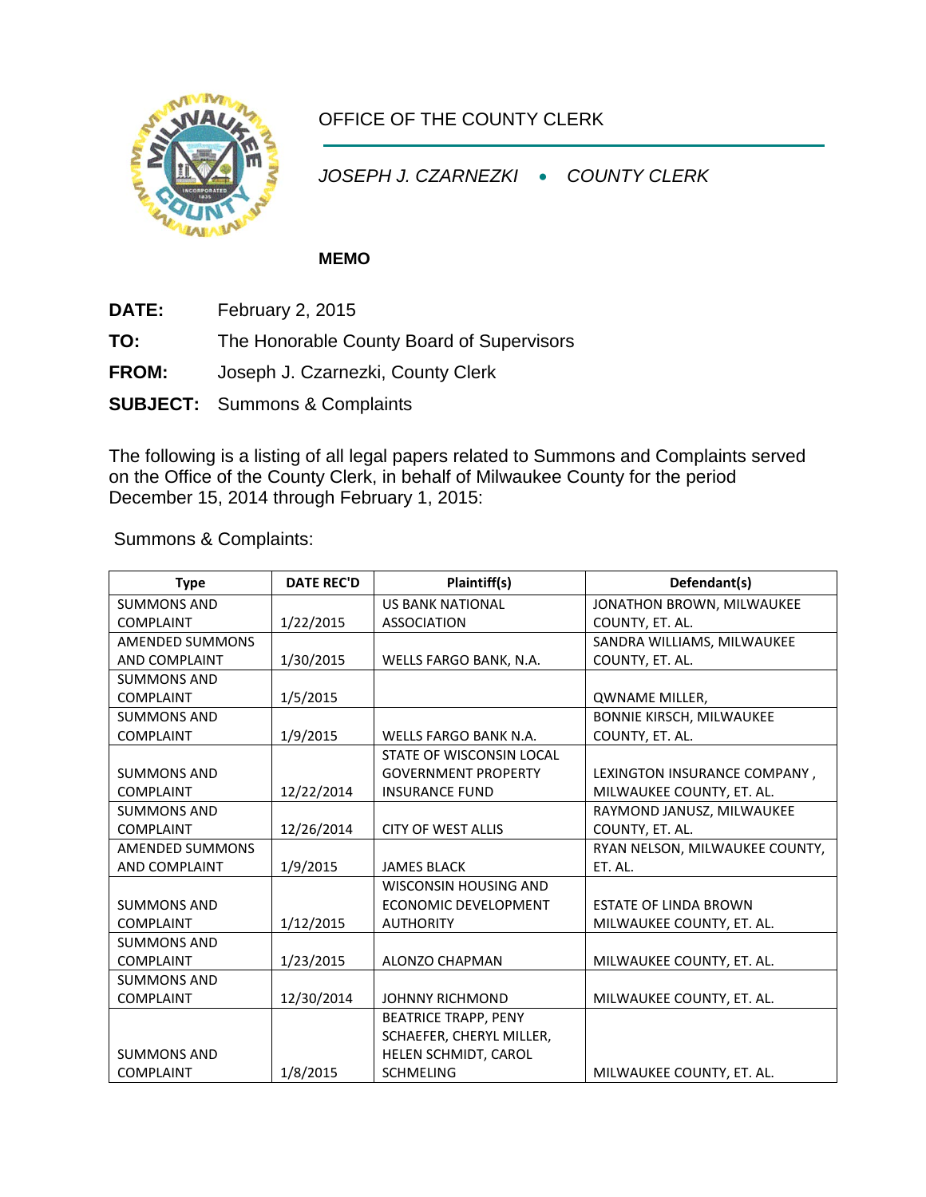

## OFFICE OF THE COUNTY CLERK

*JOSEPH J. CZARNEZKI* • *COUNTY CLERK*

## **MEMO**

- **DATE:** February 2, 2015
- **TO:** The Honorable County Board of Supervisors
- **FROM:** Joseph J. Czarnezki, County Clerk
- **SUBJECT:** Summons & Complaints

The following is a listing of all legal papers related to Summons and Complaints served on the Office of the County Clerk, in behalf of Milwaukee County for the period December 15, 2014 through February 1, 2015:

Summons & Complaints:

| <b>Type</b>            | <b>DATE REC'D</b> | Plaintiff(s)                 | Defendant(s)                    |
|------------------------|-------------------|------------------------------|---------------------------------|
| <b>SUMMONS AND</b>     |                   | <b>US BANK NATIONAL</b>      | JONATHON BROWN, MILWAUKEE       |
| <b>COMPLAINT</b>       | 1/22/2015         | <b>ASSOCIATION</b>           | COUNTY, ET. AL.                 |
| <b>AMENDED SUMMONS</b> |                   |                              | SANDRA WILLIAMS, MILWAUKEE      |
| <b>AND COMPLAINT</b>   | 1/30/2015         | WELLS FARGO BANK, N.A.       | COUNTY, ET. AL.                 |
| <b>SUMMONS AND</b>     |                   |                              |                                 |
| <b>COMPLAINT</b>       | 1/5/2015          |                              | <b>QWNAME MILLER,</b>           |
| <b>SUMMONS AND</b>     |                   |                              | <b>BONNIE KIRSCH, MILWAUKEE</b> |
| <b>COMPLAINT</b>       | 1/9/2015          | <b>WELLS FARGO BANK N.A.</b> | COUNTY, ET. AL.                 |
|                        |                   | STATE OF WISCONSIN LOCAL     |                                 |
| <b>SUMMONS AND</b>     |                   | <b>GOVERNMENT PROPERTY</b>   | LEXINGTON INSURANCE COMPANY,    |
| <b>COMPLAINT</b>       | 12/22/2014        | <b>INSURANCE FUND</b>        | MILWAUKEE COUNTY, ET. AL.       |
| <b>SUMMONS AND</b>     |                   |                              | RAYMOND JANUSZ, MILWAUKEE       |
| <b>COMPLAINT</b>       | 12/26/2014        | <b>CITY OF WEST ALLIS</b>    | COUNTY, ET. AL.                 |
| <b>AMENDED SUMMONS</b> |                   |                              | RYAN NELSON, MILWAUKEE COUNTY,  |
| <b>AND COMPLAINT</b>   | 1/9/2015          | <b>JAMES BLACK</b>           | ET. AL.                         |
|                        |                   | <b>WISCONSIN HOUSING AND</b> |                                 |
| <b>SUMMONS AND</b>     |                   | <b>ECONOMIC DEVELOPMENT</b>  | <b>ESTATE OF LINDA BROWN</b>    |
| <b>COMPLAINT</b>       | 1/12/2015         | <b>AUTHORITY</b>             | MILWAUKEE COUNTY, ET. AL.       |
| <b>SUMMONS AND</b>     |                   |                              |                                 |
| <b>COMPLAINT</b>       | 1/23/2015         | <b>ALONZO CHAPMAN</b>        | MILWAUKEE COUNTY, ET. AL.       |
| <b>SUMMONS AND</b>     |                   |                              |                                 |
| <b>COMPLAINT</b>       | 12/30/2014        | <b>JOHNNY RICHMOND</b>       | MILWAUKEE COUNTY, ET. AL.       |
|                        |                   | <b>BEATRICE TRAPP, PENY</b>  |                                 |
|                        |                   | SCHAEFER, CHERYL MILLER,     |                                 |
| <b>SUMMONS AND</b>     |                   | HELEN SCHMIDT, CAROL         |                                 |
| <b>COMPLAINT</b>       | 1/8/2015          | <b>SCHMELING</b>             | MILWAUKEE COUNTY, ET. AL.       |